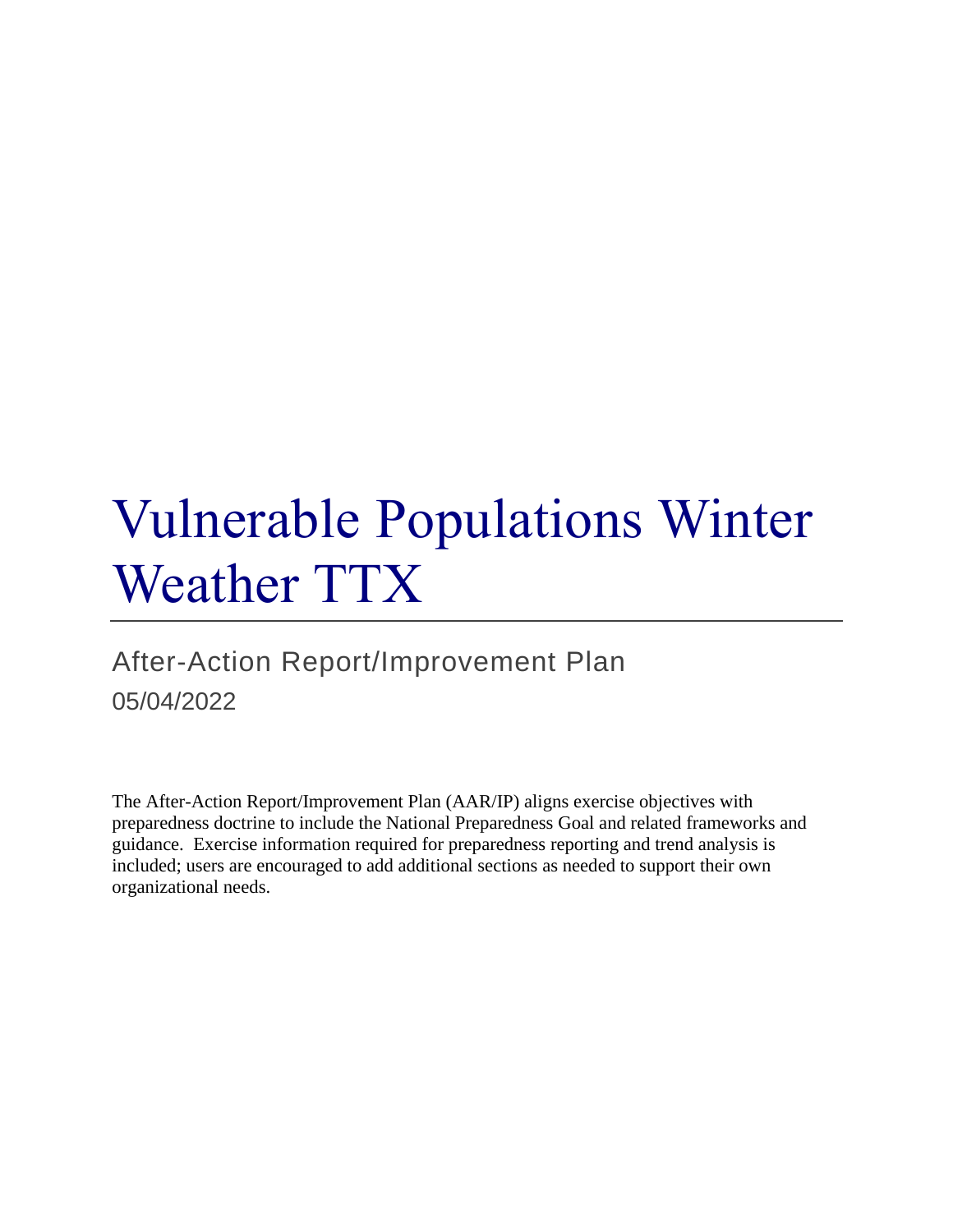# Vulnerable Populations Winter Weather TTX

## After-Action Report/Improvement Plan 05/04/2022

The After-Action Report/Improvement Plan (AAR/IP) aligns exercise objectives with preparedness doctrine to include the National Preparedness Goal and related frameworks and guidance. Exercise information required for preparedness reporting and trend analysis is included; users are encouraged to add additional sections as needed to support their own organizational needs.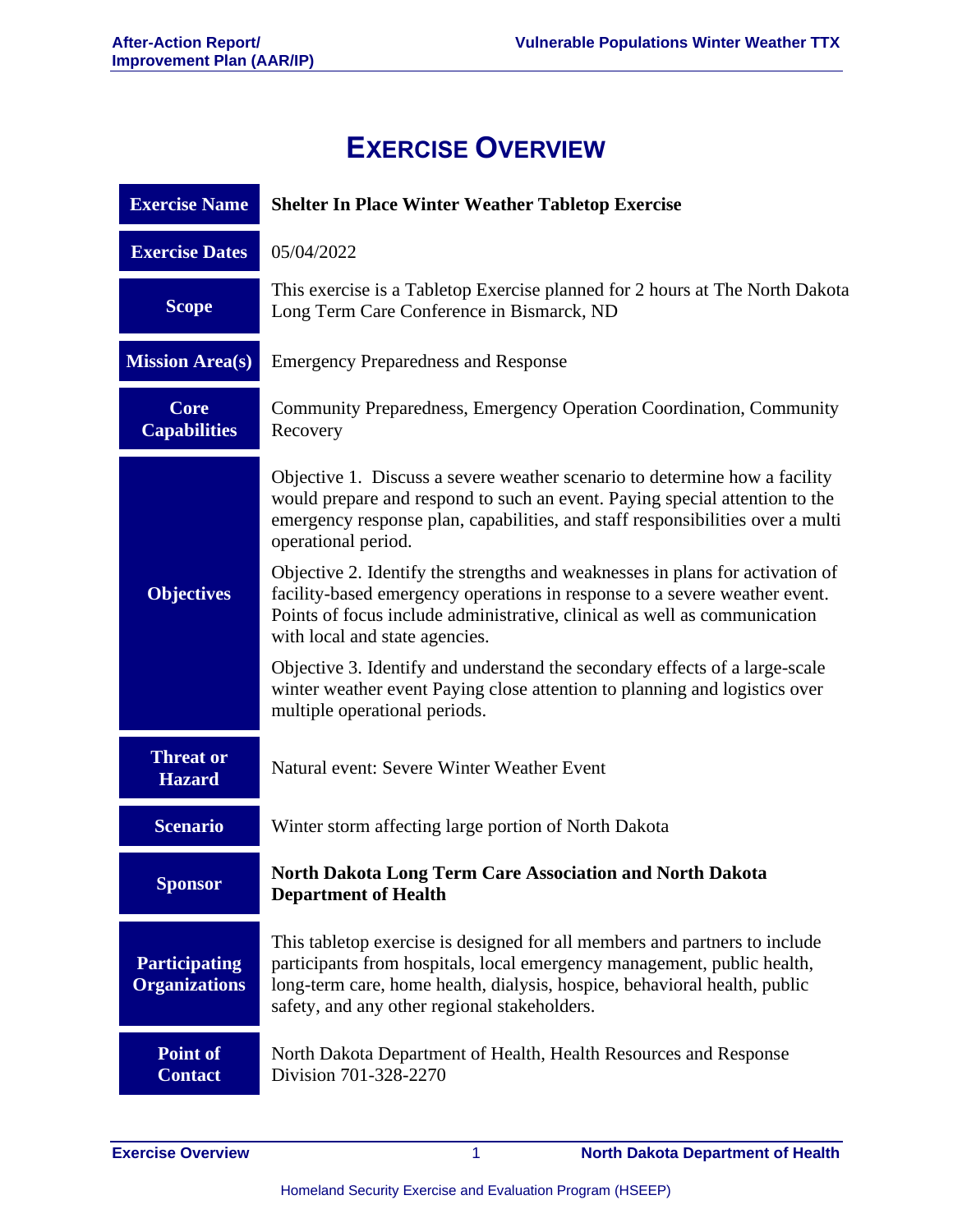## **EXERCISE OVERVIEW**

| <b>Exercise Name</b>                         | <b>Shelter In Place Winter Weather Tabletop Exercise</b>                                                                                                                                                                                                                           |  |  |
|----------------------------------------------|------------------------------------------------------------------------------------------------------------------------------------------------------------------------------------------------------------------------------------------------------------------------------------|--|--|
| <b>Exercise Dates</b>                        | 05/04/2022                                                                                                                                                                                                                                                                         |  |  |
| <b>Scope</b>                                 | This exercise is a Tabletop Exercise planned for 2 hours at The North Dakota<br>Long Term Care Conference in Bismarck, ND                                                                                                                                                          |  |  |
| <b>Mission Area(s)</b>                       | <b>Emergency Preparedness and Response</b>                                                                                                                                                                                                                                         |  |  |
| <b>Core</b><br><b>Capabilities</b>           | Community Preparedness, Emergency Operation Coordination, Community<br>Recovery                                                                                                                                                                                                    |  |  |
|                                              | Objective 1. Discuss a severe weather scenario to determine how a facility<br>would prepare and respond to such an event. Paying special attention to the<br>emergency response plan, capabilities, and staff responsibilities over a multi<br>operational period.                 |  |  |
| <b>Objectives</b>                            | Objective 2. Identify the strengths and weaknesses in plans for activation of<br>facility-based emergency operations in response to a severe weather event.<br>Points of focus include administrative, clinical as well as communication<br>with local and state agencies.         |  |  |
|                                              | Objective 3. Identify and understand the secondary effects of a large-scale<br>winter weather event Paying close attention to planning and logistics over<br>multiple operational periods.                                                                                         |  |  |
| <b>Threat or</b><br><b>Hazard</b>            | Natural event: Severe Winter Weather Event                                                                                                                                                                                                                                         |  |  |
| <b>Scenario</b>                              | Winter storm affecting large portion of North Dakota                                                                                                                                                                                                                               |  |  |
| <b>Sponsor</b>                               | <b>North Dakota Long Term Care Association and North Dakota</b><br><b>Department of Health</b>                                                                                                                                                                                     |  |  |
| <b>Participating</b><br><b>Organizations</b> | This tabletop exercise is designed for all members and partners to include<br>participants from hospitals, local emergency management, public health,<br>long-term care, home health, dialysis, hospice, behavioral health, public<br>safety, and any other regional stakeholders. |  |  |
| Point of<br><b>Contact</b>                   | North Dakota Department of Health, Health Resources and Response<br>Division 701-328-2270                                                                                                                                                                                          |  |  |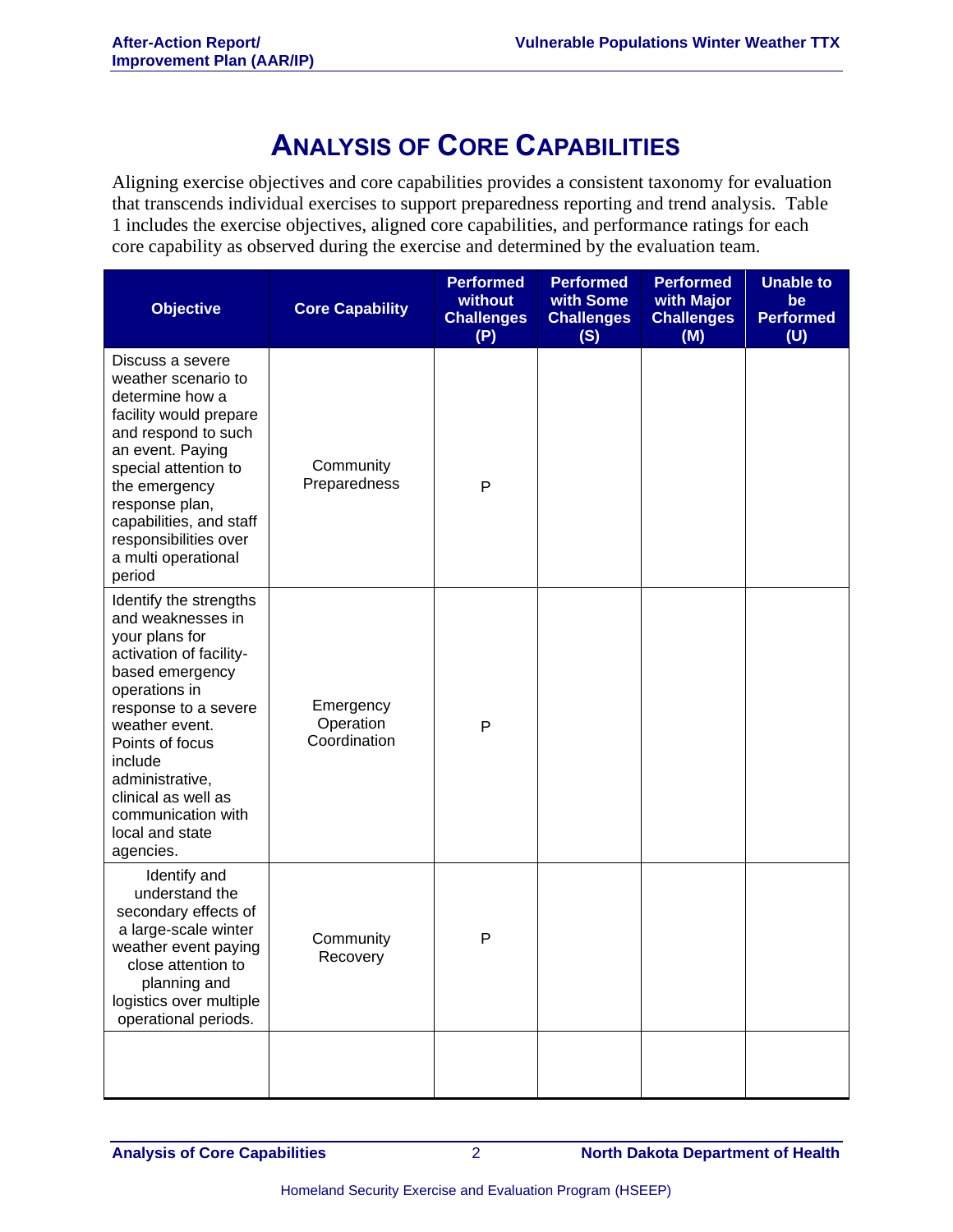### **ANALYSIS OF CORE CAPABILITIES**

Aligning exercise objectives and core capabilities provides a consistent taxonomy for evaluation that transcends individual exercises to support preparedness reporting and trend analysis. Table 1 includes the exercise objectives, aligned core capabilities, and performance ratings for each core capability as observed during the exercise and determined by the evaluation team.

| <b>Objective</b>                                                                                                                                                                                                                                                                                     | <b>Core Capability</b>                 | <b>Performed</b><br>without<br><b>Challenges</b><br>(P) | <b>Performed</b><br>with Some<br><b>Challenges</b><br>(S) | <b>Performed</b><br>with Major<br><b>Challenges</b><br>(M) | <b>Unable to</b><br>be<br><b>Performed</b><br>(U) |
|------------------------------------------------------------------------------------------------------------------------------------------------------------------------------------------------------------------------------------------------------------------------------------------------------|----------------------------------------|---------------------------------------------------------|-----------------------------------------------------------|------------------------------------------------------------|---------------------------------------------------|
| Discuss a severe<br>weather scenario to<br>determine how a<br>facility would prepare<br>and respond to such<br>an event. Paying<br>special attention to<br>the emergency<br>response plan,<br>capabilities, and staff<br>responsibilities over<br>a multi operational<br>period                      | Community<br>Preparedness              | $\mathsf{P}$                                            |                                                           |                                                            |                                                   |
| Identify the strengths<br>and weaknesses in<br>your plans for<br>activation of facility-<br>based emergency<br>operations in<br>response to a severe<br>weather event.<br>Points of focus<br>include<br>administrative,<br>clinical as well as<br>communication with<br>local and state<br>agencies. | Emergency<br>Operation<br>Coordination | P                                                       |                                                           |                                                            |                                                   |
| Identify and<br>understand the<br>secondary effects of<br>a large-scale winter<br>weather event paying<br>close attention to<br>planning and<br>logistics over multiple<br>operational periods.                                                                                                      | Community<br>Recovery                  | P                                                       |                                                           |                                                            |                                                   |
|                                                                                                                                                                                                                                                                                                      |                                        |                                                         |                                                           |                                                            |                                                   |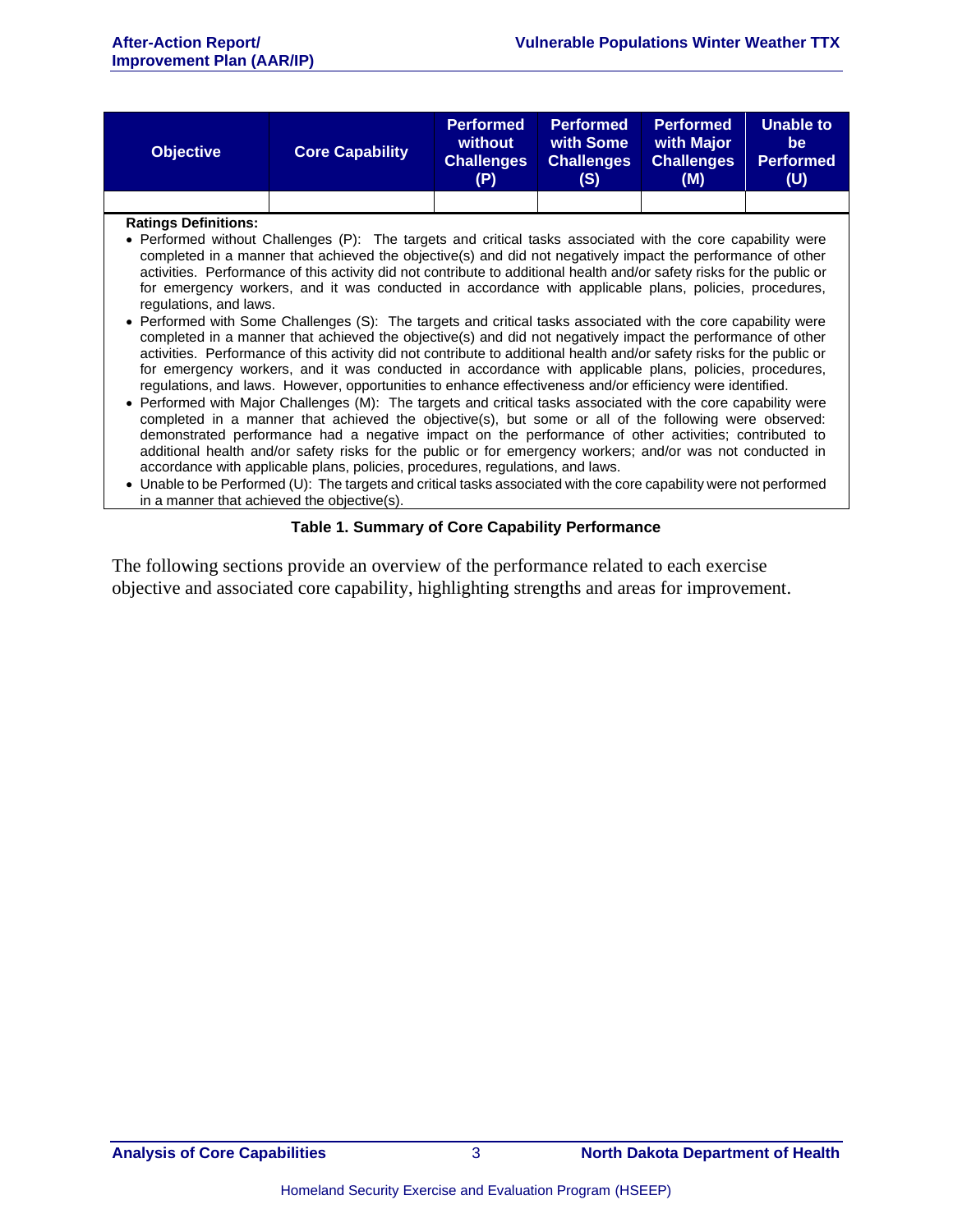| <b>Objective</b>                                      | <b>Core Capability</b>                                                                                                                                                                                                                                                                                                                                                                                                                                                                                                                                                                                                                                                                                                                                                                                                                                                                                                                                                                                                                                                                                                                                                                                                                                                                                                                                                                                                                                                                                                                                                                                                                                                                                                                                    | <b>Performed</b><br>without<br><b>Challenges</b><br>(P) | <b>Performed</b><br>with Some<br><b>Challenges</b><br>(S) | <b>Performed</b><br>with Major<br><b>Challenges</b><br>(M) | Unable to<br>be.<br><b>Performed</b><br>(U) |
|-------------------------------------------------------|-----------------------------------------------------------------------------------------------------------------------------------------------------------------------------------------------------------------------------------------------------------------------------------------------------------------------------------------------------------------------------------------------------------------------------------------------------------------------------------------------------------------------------------------------------------------------------------------------------------------------------------------------------------------------------------------------------------------------------------------------------------------------------------------------------------------------------------------------------------------------------------------------------------------------------------------------------------------------------------------------------------------------------------------------------------------------------------------------------------------------------------------------------------------------------------------------------------------------------------------------------------------------------------------------------------------------------------------------------------------------------------------------------------------------------------------------------------------------------------------------------------------------------------------------------------------------------------------------------------------------------------------------------------------------------------------------------------------------------------------------------------|---------------------------------------------------------|-----------------------------------------------------------|------------------------------------------------------------|---------------------------------------------|
|                                                       |                                                                                                                                                                                                                                                                                                                                                                                                                                                                                                                                                                                                                                                                                                                                                                                                                                                                                                                                                                                                                                                                                                                                                                                                                                                                                                                                                                                                                                                                                                                                                                                                                                                                                                                                                           |                                                         |                                                           |                                                            |                                             |
| <b>Ratings Definitions:</b><br>regulations, and laws. | • Performed without Challenges (P): The targets and critical tasks associated with the core capability were<br>completed in a manner that achieved the objective(s) and did not negatively impact the performance of other<br>activities. Performance of this activity did not contribute to additional health and/or safety risks for the public or<br>for emergency workers, and it was conducted in accordance with applicable plans, policies, procedures,<br>• Performed with Some Challenges (S): The targets and critical tasks associated with the core capability were<br>completed in a manner that achieved the objective(s) and did not negatively impact the performance of other<br>activities. Performance of this activity did not contribute to additional health and/or safety risks for the public or<br>for emergency workers, and it was conducted in accordance with applicable plans, policies, procedures,<br>regulations, and laws. However, opportunities to enhance effectiveness and/or efficiency were identified.<br>• Performed with Major Challenges (M): The targets and critical tasks associated with the core capability were<br>completed in a manner that achieved the objective(s), but some or all of the following were observed:<br>demonstrated performance had a negative impact on the performance of other activities; contributed to<br>additional health and/or safety risks for the public or for emergency workers; and/or was not conducted in<br>accordance with applicable plans, policies, procedures, regulations, and laws.<br>• Unable to be Performed (U): The targets and critical tasks associated with the core capability were not performed<br>in a manner that achieved the objective(s). |                                                         |                                                           |                                                            |                                             |

#### **Table 1. Summary of Core Capability Performance**

The following sections provide an overview of the performance related to each exercise objective and associated core capability, highlighting strengths and areas for improvement.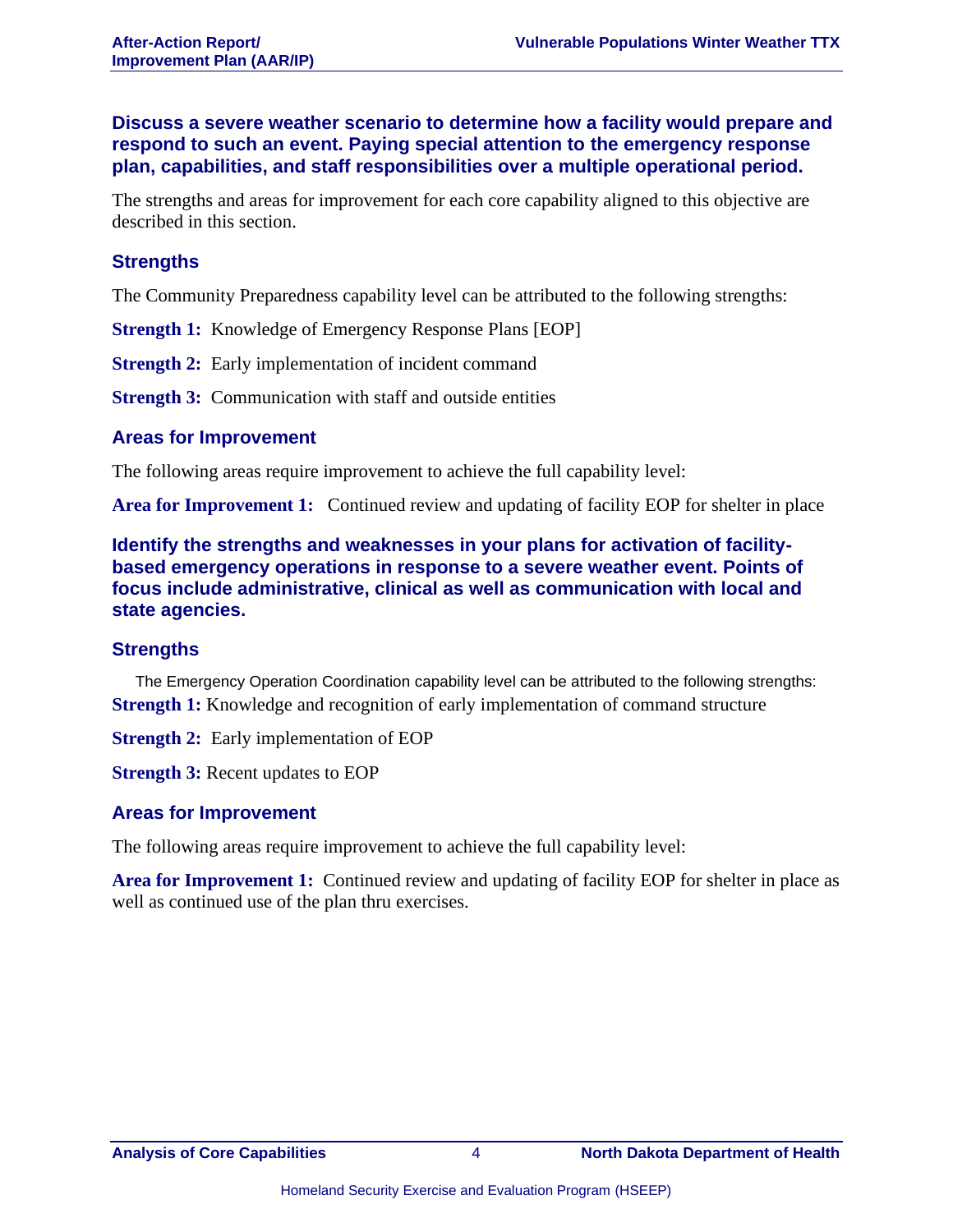**Discuss a severe weather scenario to determine how a facility would prepare and respond to such an event. Paying special attention to the emergency response plan, capabilities, and staff responsibilities over a multiple operational period.**

The strengths and areas for improvement for each core capability aligned to this objective are described in this section.

#### **Strengths**

The Community Preparedness capability level can be attributed to the following strengths:

**Strength 1:** Knowledge of Emergency Response Plans [EOP]

**Strength 2:** Early implementation of incident command

**Strength 3:** Communication with staff and outside entities

#### **Areas for Improvement**

The following areas require improvement to achieve the full capability level:

**Area for Improvement 1:** Continued review and updating of facility EOP for shelter in place

**Identify the strengths and weaknesses in your plans for activation of facilitybased emergency operations in response to a severe weather event. Points of focus include administrative, clinical as well as communication with local and state agencies.**

#### **Strengths**

The Emergency Operation Coordination capability level can be attributed to the following strengths: **Strength 1:** Knowledge and recognition of early implementation of command structure

**Strength 2:** Early implementation of EOP

**Strength 3:** Recent updates to EOP

#### **Areas for Improvement**

The following areas require improvement to achieve the full capability level:

**Area for Improvement 1:** Continued review and updating of facility EOP for shelter in place as well as continued use of the plan thru exercises.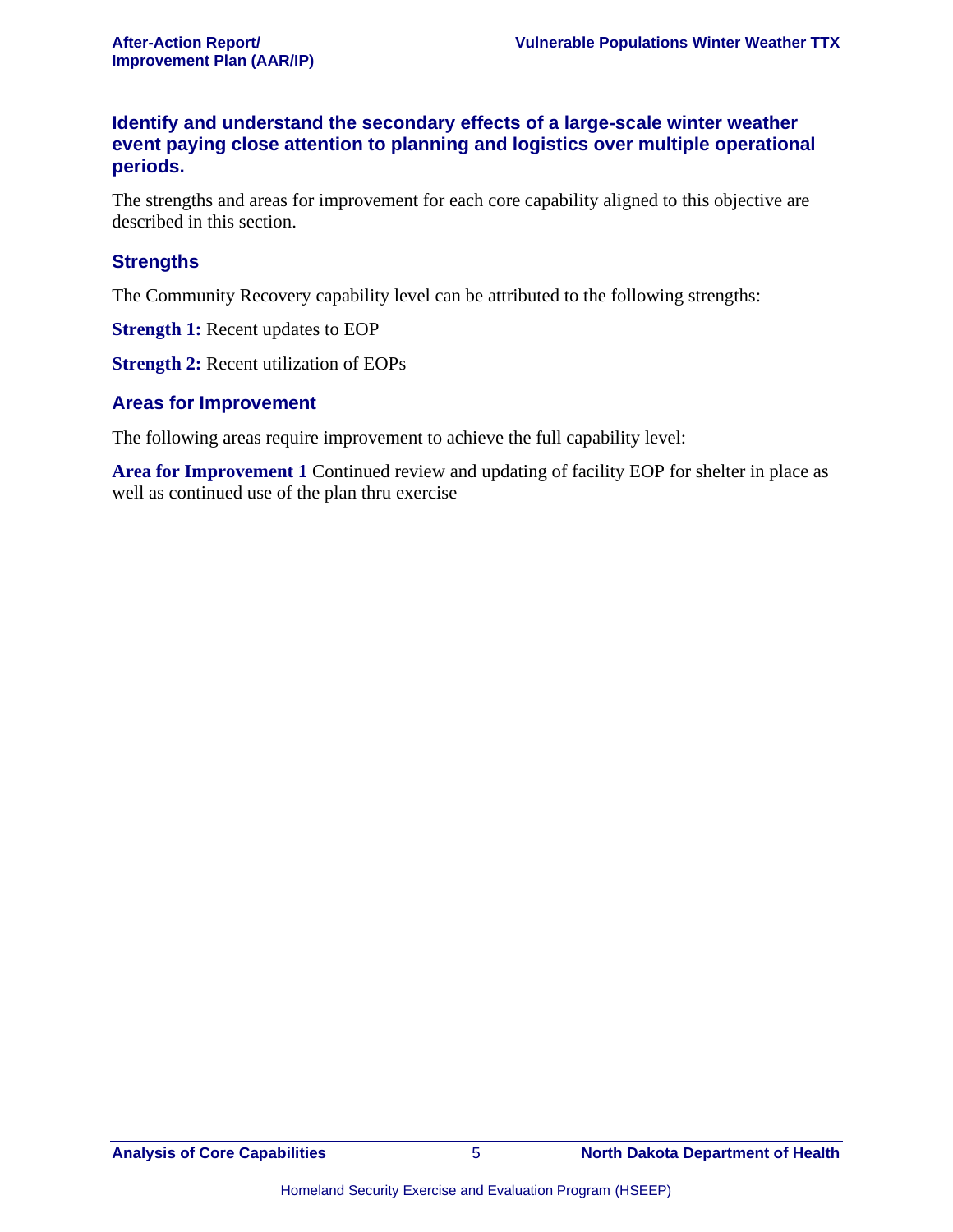#### **Identify and understand the secondary effects of a large-scale winter weather event paying close attention to planning and logistics over multiple operational periods.**

The strengths and areas for improvement for each core capability aligned to this objective are described in this section.

#### **Strengths**

The Community Recovery capability level can be attributed to the following strengths:

**Strength 1:** Recent updates to EOP

**Strength 2:** Recent utilization of EOPs

#### **Areas for Improvement**

The following areas require improvement to achieve the full capability level:

**Area for Improvement 1** Continued review and updating of facility EOP for shelter in place as well as continued use of the plan thru exercise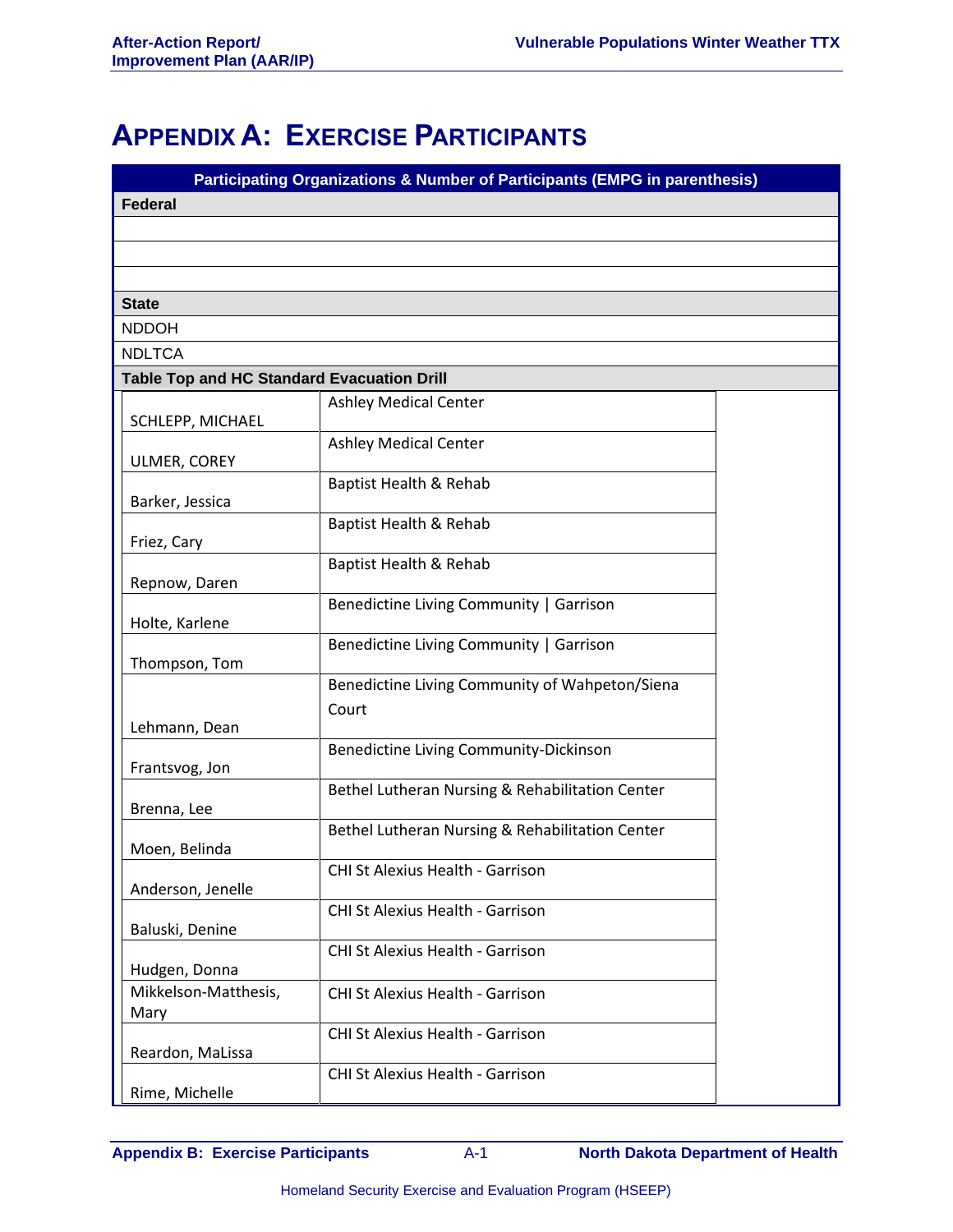## **APPENDIX A: EXERCISE PARTICIPANTS**

| <b>Federal</b>                                                            |  |
|---------------------------------------------------------------------------|--|
|                                                                           |  |
|                                                                           |  |
|                                                                           |  |
|                                                                           |  |
| <b>State</b>                                                              |  |
| <b>NDDOH</b>                                                              |  |
| <b>NDLTCA</b>                                                             |  |
| <b>Table Top and HC Standard Evacuation Drill</b>                         |  |
| <b>Ashley Medical Center</b><br>SCHLEPP, MICHAEL                          |  |
| <b>Ashley Medical Center</b>                                              |  |
| ULMER, COREY                                                              |  |
| Baptist Health & Rehab                                                    |  |
| Barker, Jessica<br>Baptist Health & Rehab                                 |  |
| Friez, Cary                                                               |  |
| Baptist Health & Rehab                                                    |  |
| Repnow, Daren                                                             |  |
| Benedictine Living Community   Garrison<br>Holte, Karlene                 |  |
| Benedictine Living Community   Garrison                                   |  |
| Thompson, Tom                                                             |  |
| Benedictine Living Community of Wahpeton/Siena<br>Court                   |  |
| Lehmann, Dean                                                             |  |
| Benedictine Living Community-Dickinson                                    |  |
| Frantsvog, Jon                                                            |  |
| Bethel Lutheran Nursing & Rehabilitation Center<br>Brenna, Lee            |  |
| Bethel Lutheran Nursing & Rehabilitation Center                           |  |
| Moen, Belinda                                                             |  |
| CHI St Alexius Health - Garrison                                          |  |
| Anderson, Jenelle<br>CHI St Alexius Health - Garrison                     |  |
| Baluski, Denine                                                           |  |
| CHI St Alexius Health - Garrison                                          |  |
| Hudgen, Donna<br>Mikkelson-Matthesis,<br>CHI St Alexius Health - Garrison |  |
| Mary                                                                      |  |
| <b>CHI St Alexius Health - Garrison</b>                                   |  |
| Reardon, MaLissa                                                          |  |
| CHI St Alexius Health - Garrison<br>Rime, Michelle                        |  |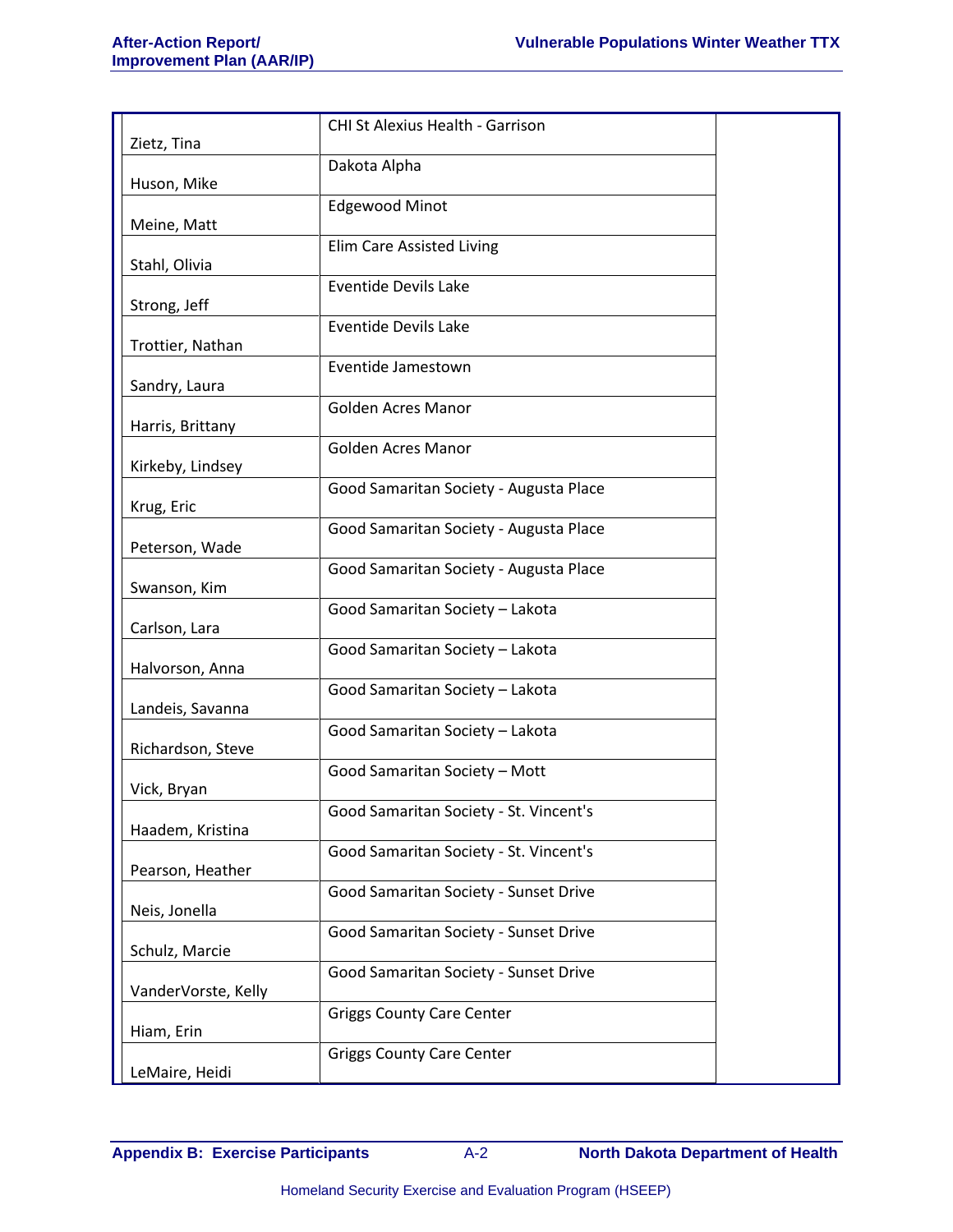|                     | CHI St Alexius Health - Garrison       |
|---------------------|----------------------------------------|
| Zietz, Tina         |                                        |
| Huson, Mike         | Dakota Alpha                           |
|                     | <b>Edgewood Minot</b>                  |
| Meine, Matt         |                                        |
|                     | <b>Elim Care Assisted Living</b>       |
| Stahl, Olivia       | <b>Eventide Devils Lake</b>            |
| Strong, Jeff        |                                        |
| Trottier, Nathan    | <b>Eventide Devils Lake</b>            |
|                     | Eventide Jamestown                     |
| Sandry, Laura       |                                        |
| Harris, Brittany    | <b>Golden Acres Manor</b>              |
|                     | <b>Golden Acres Manor</b>              |
| Kirkeby, Lindsey    |                                        |
| Krug, Eric          | Good Samaritan Society - Augusta Place |
|                     | Good Samaritan Society - Augusta Place |
| Peterson, Wade      |                                        |
| Swanson, Kim        | Good Samaritan Society - Augusta Place |
|                     | Good Samaritan Society - Lakota        |
| Carlson, Lara       | Good Samaritan Society - Lakota        |
| Halvorson, Anna     |                                        |
|                     | Good Samaritan Society - Lakota        |
| Landeis, Savanna    | Good Samaritan Society - Lakota        |
| Richardson, Steve   |                                        |
|                     | Good Samaritan Society - Mott          |
| Vick, Bryan         | Good Samaritan Society - St. Vincent's |
| Haadem, Kristina    |                                        |
| Pearson, Heather    | Good Samaritan Society - St. Vincent's |
|                     | Good Samaritan Society - Sunset Drive  |
| Neis, Jonella       |                                        |
| Schulz, Marcie      | Good Samaritan Society - Sunset Drive  |
|                     | Good Samaritan Society - Sunset Drive  |
| VanderVorste, Kelly |                                        |
| Hiam, Erin          | <b>Griggs County Care Center</b>       |
|                     | <b>Griggs County Care Center</b>       |
| LeMaire, Heidi      |                                        |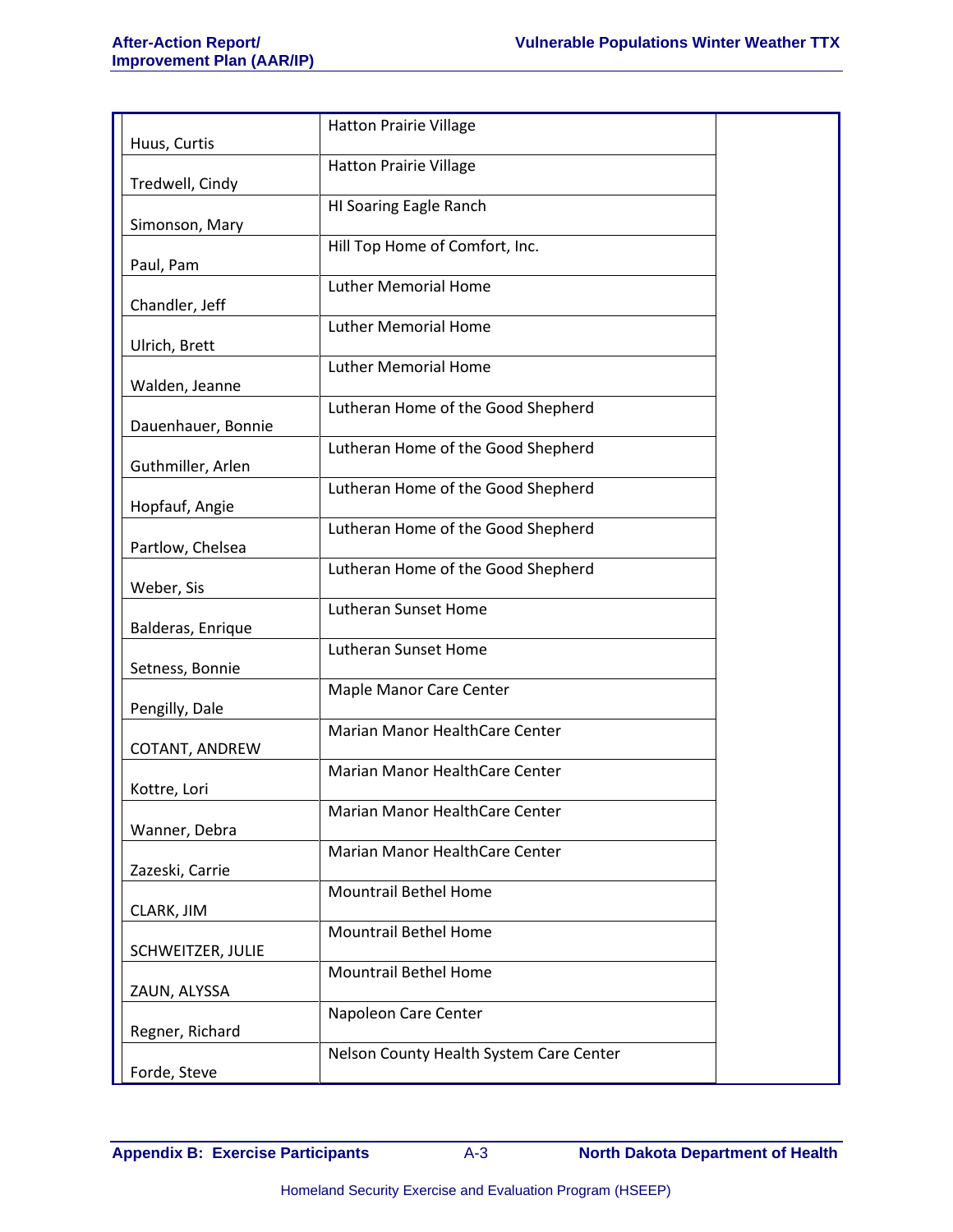| Huus, Curtis       | <b>Hatton Prairie Village</b>           |  |
|--------------------|-----------------------------------------|--|
| Tredwell, Cindy    | <b>Hatton Prairie Village</b>           |  |
|                    | HI Soaring Eagle Ranch                  |  |
| Simonson, Mary     | Hill Top Home of Comfort, Inc.          |  |
| Paul, Pam          | <b>Luther Memorial Home</b>             |  |
| Chandler, Jeff     |                                         |  |
| Ulrich, Brett      | <b>Luther Memorial Home</b>             |  |
| Walden, Jeanne     | <b>Luther Memorial Home</b>             |  |
| Dauenhauer, Bonnie | Lutheran Home of the Good Shepherd      |  |
| Guthmiller, Arlen  | Lutheran Home of the Good Shepherd      |  |
| Hopfauf, Angie     | Lutheran Home of the Good Shepherd      |  |
| Partlow, Chelsea   | Lutheran Home of the Good Shepherd      |  |
| Weber, Sis         | Lutheran Home of the Good Shepherd      |  |
| Balderas, Enrique  | Lutheran Sunset Home                    |  |
| Setness, Bonnie    | Lutheran Sunset Home                    |  |
| Pengilly, Dale     | Maple Manor Care Center                 |  |
| COTANT, ANDREW     | Marian Manor HealthCare Center          |  |
| Kottre, Lori       | Marian Manor HealthCare Center          |  |
| Wanner, Debra      | Marian Manor HealthCare Center          |  |
| Zazeski, Carrie    | Marian Manor HealthCare Center          |  |
| CLARK, JIM         | <b>Mountrail Bethel Home</b>            |  |
| SCHWEITZER, JULIE  | <b>Mountrail Bethel Home</b>            |  |
| ZAUN, ALYSSA       | <b>Mountrail Bethel Home</b>            |  |
| Regner, Richard    | Napoleon Care Center                    |  |
| Forde, Steve       | Nelson County Health System Care Center |  |
|                    |                                         |  |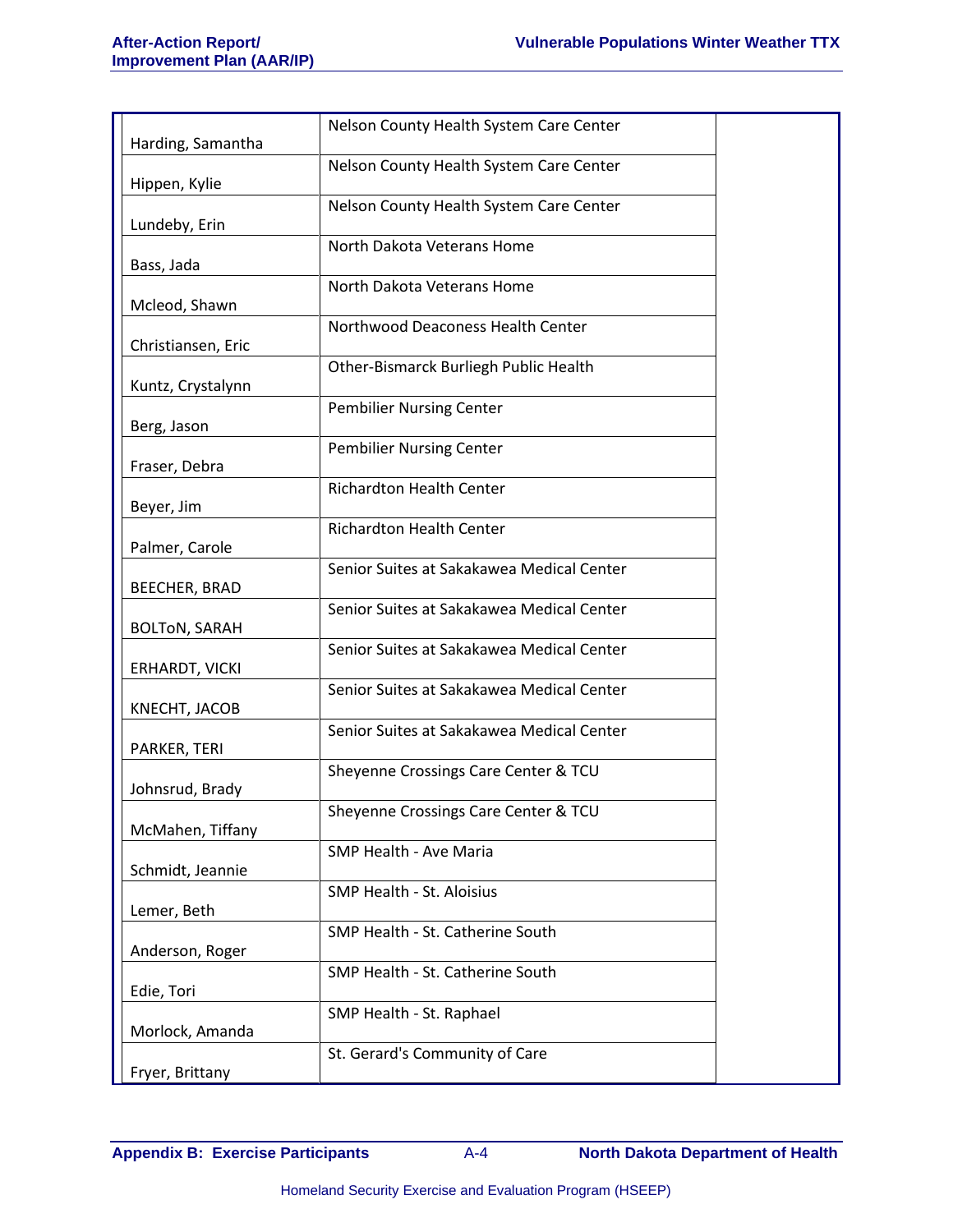|                      | Nelson County Health System Care Center   |
|----------------------|-------------------------------------------|
| Harding, Samantha    |                                           |
|                      | Nelson County Health System Care Center   |
| Hippen, Kylie        | Nelson County Health System Care Center   |
| Lundeby, Erin        |                                           |
|                      | North Dakota Veterans Home                |
| Bass, Jada           |                                           |
| Mcleod, Shawn        | North Dakota Veterans Home                |
|                      | Northwood Deaconess Health Center         |
| Christiansen, Eric   |                                           |
|                      | Other-Bismarck Burliegh Public Health     |
| Kuntz, Crystalynn    |                                           |
| Berg, Jason          | <b>Pembilier Nursing Center</b>           |
|                      | <b>Pembilier Nursing Center</b>           |
| Fraser, Debra        |                                           |
|                      | <b>Richardton Health Center</b>           |
| Beyer, Jim           |                                           |
| Palmer, Carole       | <b>Richardton Health Center</b>           |
|                      | Senior Suites at Sakakawea Medical Center |
| BEECHER, BRAD        |                                           |
|                      | Senior Suites at Sakakawea Medical Center |
| <b>BOLTON, SARAH</b> | Senior Suites at Sakakawea Medical Center |
| ERHARDT, VICKI       |                                           |
|                      | Senior Suites at Sakakawea Medical Center |
| KNECHT, JACOB        |                                           |
|                      | Senior Suites at Sakakawea Medical Center |
| PARKER, TERI         | Sheyenne Crossings Care Center & TCU      |
| Johnsrud, Brady      |                                           |
|                      | Sheyenne Crossings Care Center & TCU      |
| McMahen, Tiffany     |                                           |
| Schmidt, Jeannie     | SMP Health - Ave Maria                    |
|                      | SMP Health - St. Aloisius                 |
| Lemer, Beth          |                                           |
|                      | SMP Health - St. Catherine South          |
| Anderson, Roger      |                                           |
| Edie, Tori           | SMP Health - St. Catherine South          |
|                      | SMP Health - St. Raphael                  |
| Morlock, Amanda      |                                           |
|                      | St. Gerard's Community of Care            |
| Fryer, Brittany      |                                           |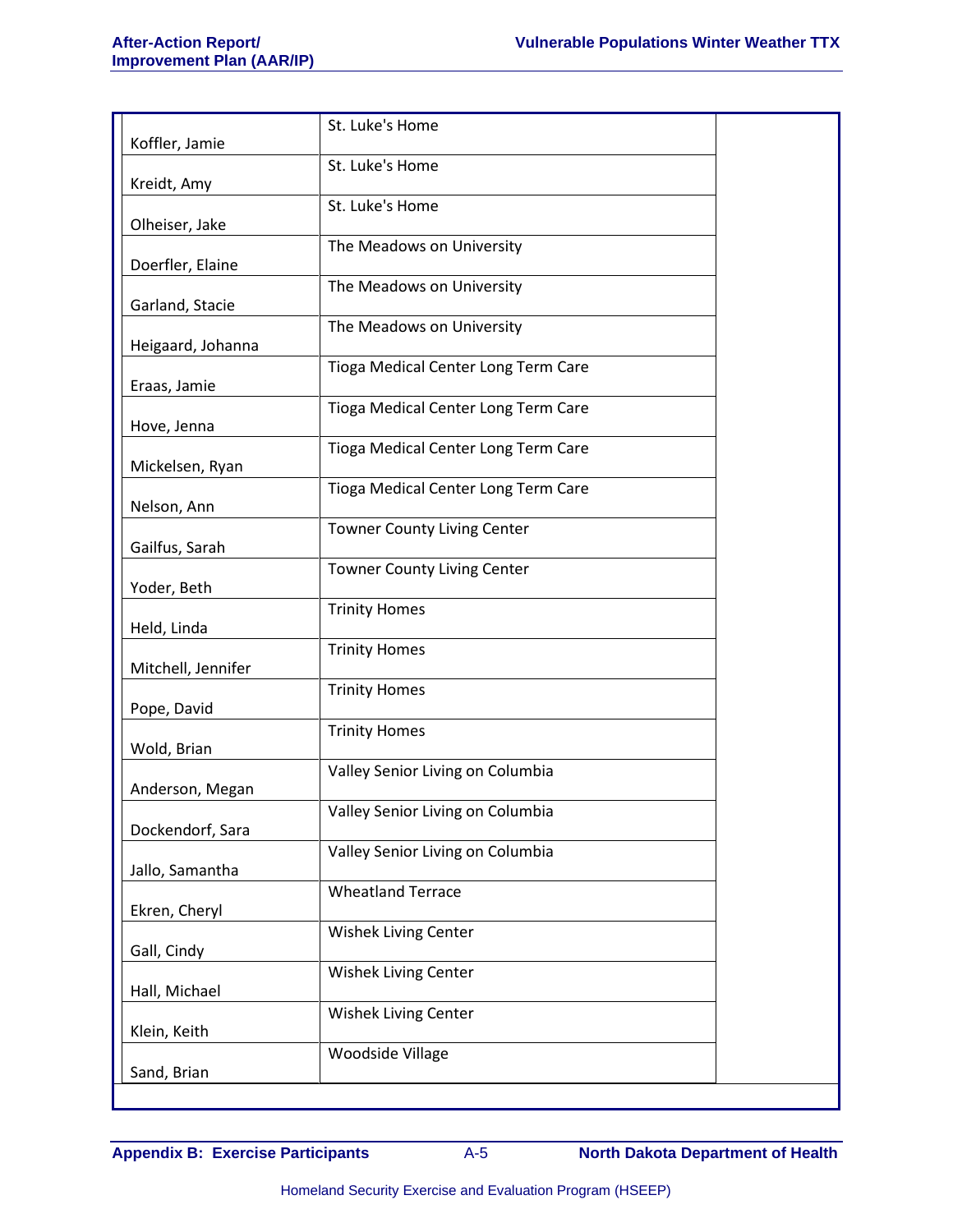| St. Luke's Home                     |                                                                                                                                                        |
|-------------------------------------|--------------------------------------------------------------------------------------------------------------------------------------------------------|
| St. Luke's Home                     |                                                                                                                                                        |
| St. Luke's Home                     |                                                                                                                                                        |
| The Meadows on University           |                                                                                                                                                        |
|                                     |                                                                                                                                                        |
|                                     |                                                                                                                                                        |
|                                     |                                                                                                                                                        |
| Tioga Medical Center Long Term Care |                                                                                                                                                        |
| Tioga Medical Center Long Term Care |                                                                                                                                                        |
| Tioga Medical Center Long Term Care |                                                                                                                                                        |
| Tioga Medical Center Long Term Care |                                                                                                                                                        |
| <b>Towner County Living Center</b>  |                                                                                                                                                        |
| <b>Towner County Living Center</b>  |                                                                                                                                                        |
| <b>Trinity Homes</b>                |                                                                                                                                                        |
|                                     |                                                                                                                                                        |
|                                     |                                                                                                                                                        |
|                                     |                                                                                                                                                        |
| <b>Trinity Homes</b>                |                                                                                                                                                        |
| Valley Senior Living on Columbia    |                                                                                                                                                        |
| Valley Senior Living on Columbia    |                                                                                                                                                        |
| Valley Senior Living on Columbia    |                                                                                                                                                        |
| <b>Wheatland Terrace</b>            |                                                                                                                                                        |
|                                     |                                                                                                                                                        |
|                                     |                                                                                                                                                        |
|                                     |                                                                                                                                                        |
| Wishek Living Center                |                                                                                                                                                        |
|                                     |                                                                                                                                                        |
|                                     | The Meadows on University<br>The Meadows on University<br><b>Trinity Homes</b><br><b>Trinity Homes</b><br>Wishek Living Center<br>Wishek Living Center |

**Appendix B: Exercise Participants** A-5 **North Dakota Department of Health**